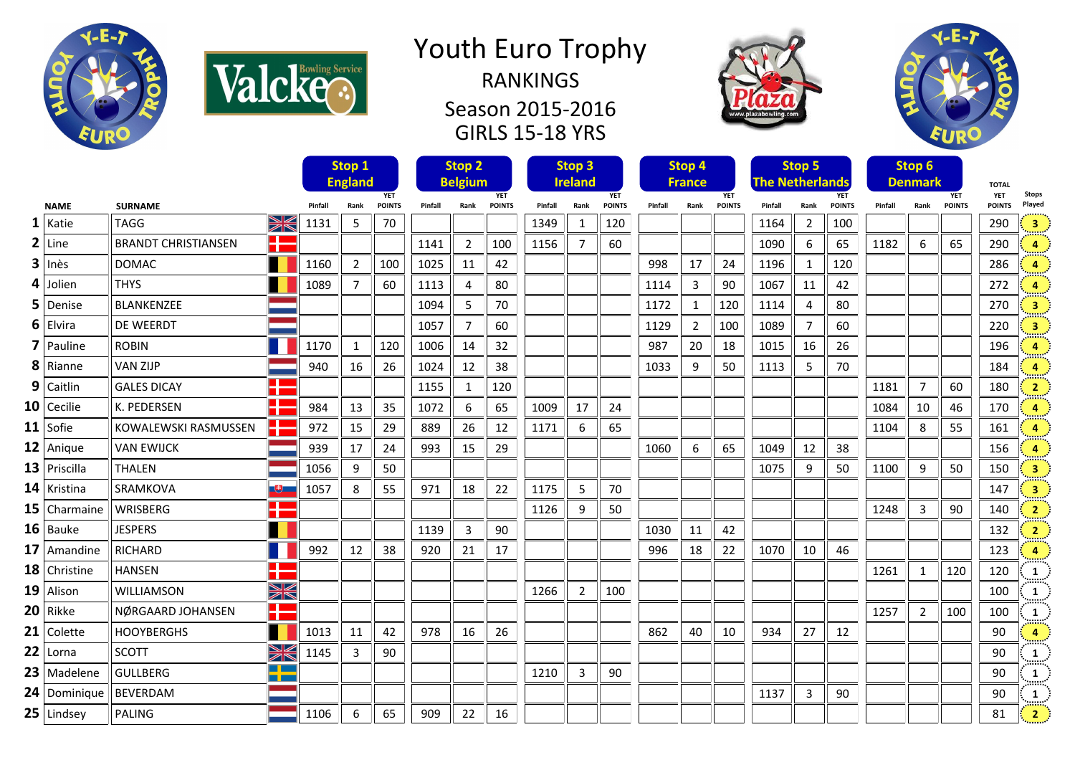

Valcke.

## Youth Euro Trophy RANKINGS

Season 2015-2016 GIRLS 15-18 YRS





|                |                            |                        |         | Stop 1<br><b>England</b>            |     |         | Stop <sub>2</sub><br><b>Belgium</b> |                             |         | Stop 3<br><b>Ireland</b> |                             |         | Stop 4<br><b>France</b>             |     |         | Stop 5<br><b>The Netherlands</b> |                             |         | Stop 6<br><b>Denmark</b> |                             | <b>TOTAL</b>                |                         |
|----------------|----------------------------|------------------------|---------|-------------------------------------|-----|---------|-------------------------------------|-----------------------------|---------|--------------------------|-----------------------------|---------|-------------------------------------|-----|---------|----------------------------------|-----------------------------|---------|--------------------------|-----------------------------|-----------------------------|-------------------------|
| <b>NAME</b>    | <b>SURNAME</b>             |                        | Pinfall | <b>YET</b><br>Rank<br><b>POINTS</b> |     | Pinfall | Rank                                | <b>YET</b><br><b>POINTS</b> | Pinfall | Rank                     | <b>YET</b><br><b>POINTS</b> | Pinfall | <b>YET</b><br><b>POINTS</b><br>Rank |     | Pinfall | Rank                             | <b>YET</b><br><b>POINTS</b> | Pinfall | Rank                     | <b>YET</b><br><b>POINTS</b> | <b>YET</b><br><b>POINTS</b> | <b>Stops</b><br>Played  |
| $1$ Katie      | <b>TAGG</b>                | XK                     | 1131    | 5                                   | 70  |         |                                     |                             | 1349    | 1                        | 120                         |         |                                     |     | 1164    | $\overline{2}$                   | 100                         |         |                          |                             | 290                         | $\overline{\mathbf{3}}$ |
| $2$ Line       | <b>BRANDT CHRISTIANSEN</b> | H                      |         |                                     |     | 1141    | 2                                   | 100                         | 1156    | $\overline{7}$           | 60                          |         |                                     |     | 1090    | 6                                | 65                          | 1182    | 6                        | 65                          | 290                         | 4                       |
| $3$ Inès       | <b>DOMAC</b>               |                        | 1160    | $\overline{2}$                      | 100 | 1025    | 11                                  | 42                          |         |                          |                             | 998     | 17                                  | 24  | 1196    | 1                                | 120                         |         |                          |                             | 286                         | 4                       |
| $4$ Jolien     | <b>THYS</b>                |                        | 1089    | $\overline{7}$                      | 60  | 1113    | 4                                   | 80                          |         |                          |                             | 1114    | 3                                   | 90  | 1067    | 11                               | 42                          |         |                          |                             | 272                         | Δ                       |
| $5$ Denise     | BLANKENZEE                 |                        |         |                                     |     | 1094    | 5                                   | 70                          |         |                          |                             | 1172    | $\mathbf{1}$                        | 120 | 1114    | 4                                | 80                          |         |                          |                             | 270                         | $\overline{\mathbf{3}}$ |
| $6$ Elvira     | DE WEERDT                  |                        |         |                                     |     | 1057    | $\overline{7}$                      | 60                          |         |                          |                             | 1129    | $\overline{2}$                      | 100 | 1089    | $\overline{7}$                   | 60                          |         |                          |                             | 220                         | $\overline{\mathbf{3}}$ |
| 7 Pauline      | <b>ROBIN</b>               |                        | 1170    | $\mathbf{1}$                        | 120 | 1006    | 14                                  | 32                          |         |                          |                             | 987     | 20                                  | 18  | 1015    | 16                               | 26                          |         |                          |                             | 196                         |                         |
| $8$ Rianne     | <b>VAN ZIJP</b>            |                        | 940     | 16                                  | 26  | 1024    | 12                                  | 38                          |         |                          |                             | 1033    | 9                                   | 50  | 1113    | 5                                | 70                          |         |                          |                             | 184                         | 4                       |
| $9$ Caitlin    | <b>GALES DICAY</b>         | n di<br>a ka           |         |                                     |     | 1155    | 1                                   | 120                         |         |                          |                             |         |                                     |     |         |                                  |                             | 1181    | $\overline{7}$           | 60                          | 180                         | $\overline{2}$          |
| $10$ Cecilie   | K. PEDERSEN                | H                      | 984     | 13                                  | 35  | 1072    | 6                                   | 65                          | 1009    | 17                       | 24                          |         |                                     |     |         |                                  |                             | 1084    | 10                       | 46                          | 170                         | 4                       |
| $11$ Sofie     | KOWALEWSKI RASMUSSEN       | HE                     | 972     | 15                                  | 29  | 889     | 26                                  | 12                          | 1171    | 6                        | 65                          |         |                                     |     |         |                                  |                             | 1104    | 8                        | 55                          | 161                         | 4                       |
| $12$ Anique    | <b>VAN EWIJCK</b>          |                        | 939     | 17                                  | 24  | 993     | 15                                  | 29                          |         |                          |                             | 1060    | 6                                   | 65  | 1049    | 12                               | 38                          |         |                          |                             | 156                         | 4                       |
| $13$ Priscilla | <b>THALEN</b>              |                        | 1056    | 9                                   | 50  |         |                                     |                             |         |                          |                             |         |                                     |     | 1075    | 9                                | 50                          | 1100    | 9                        | 50                          | 150                         | $\overline{\mathbf{3}}$ |
| $14$ Kristina  | SRAMKOVA                   | 一も一                    | 1057    | 8                                   | 55  | 971     | 18                                  | 22                          | 1175    | 5                        | 70                          |         |                                     |     |         |                                  |                             |         |                          |                             | 147                         | $\overline{\mathbf{3}}$ |
| 15   Charmaine | WRISBERG                   | a post<br>a pro        |         |                                     |     |         |                                     |                             | 1126    | 9                        | 50                          |         |                                     |     |         |                                  |                             | 1248    | $\overline{3}$           | 90                          | 140                         | $\overline{2}$          |
| $16$ Bauke     | <b>JESPERS</b>             |                        |         |                                     |     | 1139    | $\overline{3}$                      | 90                          |         |                          |                             | 1030    | 11                                  | 42  |         |                                  |                             |         |                          |                             | 132                         | $\overline{2}$          |
| 17   Amandine  | <b>RICHARD</b>             |                        | 992     | 12                                  | 38  | 920     | 21                                  | 17                          |         |                          |                             | 996     | 18                                  | 22  | 1070    | 10                               | 46                          |         |                          |                             | 123                         | $\overline{4}$          |
| 18 Christine   | <b>HANSEN</b>              | H                      |         |                                     |     |         |                                     |                             |         |                          |                             |         |                                     |     |         |                                  |                             | 1261    | $\mathbf{1}$             | 120                         | 120                         | 1<br>38888              |
| $19$ Alison    | WILLIAMSON                 | W                      |         |                                     |     |         |                                     |                             | 1266    | $\overline{2}$           | 100                         |         |                                     |     |         |                                  |                             |         |                          |                             | 100                         | 1<br>::::::             |
| $20$ Rikke     | NØRGAARD JOHANSEN          | ╉                      |         |                                     |     |         |                                     |                             |         |                          |                             |         |                                     |     |         |                                  |                             | 1257    | $\overline{2}$           | 100                         | 100                         | -1                      |
| $21$ Colette   | <b>HOOYBERGHS</b>          |                        | 1013    | 11                                  | 42  | 978     | 16                                  | 26                          |         |                          |                             | 862     | 40                                  | 10  | 934     | 27                               | 12                          |         |                          |                             | 90                          | 4                       |
| $22$ Lorna     | <b>SCOTT</b>               | X                      | 1145    | 3                                   | 90  |         |                                     |                             |         |                          |                             |         |                                     |     |         |                                  |                             |         |                          |                             | 90                          | 1<br>::::::             |
| $23$ Madelene  | <b>GULLBERG</b>            | $\blacksquare$<br>T PI |         |                                     |     |         |                                     |                             | 1210    | 3                        | 90                          |         |                                     |     |         |                                  |                             |         |                          |                             | 90                          | 1<br>::::::             |
| 24 Dominique   | <b>BEVERDAM</b>            |                        |         |                                     |     |         |                                     |                             |         |                          |                             |         |                                     |     | 1137    | 3                                | 90                          |         |                          |                             | 90                          | 1                       |
| $25$ Lindsey   | <b>PALING</b>              |                        | 1106    | 6                                   | 65  | 909     | 22                                  | 16                          |         |                          |                             |         |                                     |     |         |                                  |                             |         |                          |                             | 81                          | 2 <sup>7</sup>          |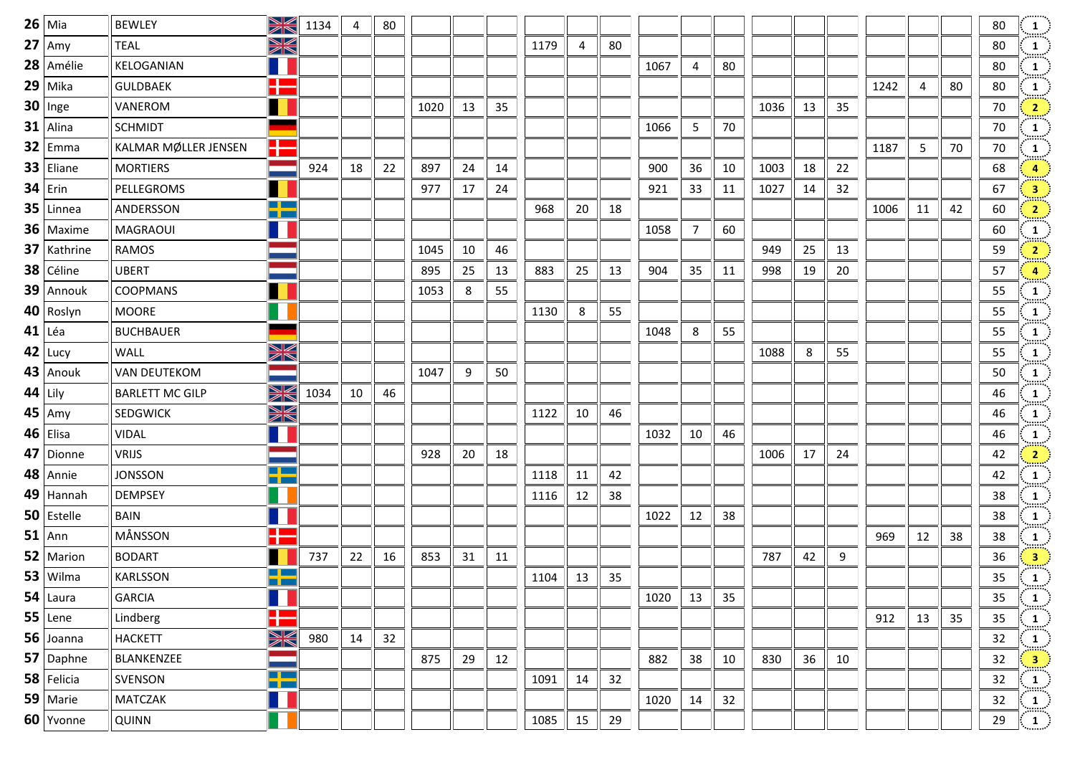| $26$ Mia       | <b>BEWLEY</b>          | XK                              | 1134 | 4  | 80 |      |    |    |      |    |    |      |                |    |      |    |    |      |    |    | 80 | $\frac{1}{\ldots}$ .                                   |
|----------------|------------------------|---------------------------------|------|----|----|------|----|----|------|----|----|------|----------------|----|------|----|----|------|----|----|----|--------------------------------------------------------|
| $27 \vert$ Amy | <b>TEAL</b>            | W                               |      |    |    |      |    |    | 1179 | 4  | 80 |      |                |    |      |    |    |      |    |    | 80 | $\frac{1}{2}$                                          |
| 28 Amélie      | KELOGANIAN             |                                 |      |    |    |      |    |    |      |    |    | 1067 | $\overline{4}$ | 80 |      |    |    |      |    |    | 80 | $\overline{1}$                                         |
| $29$ Mika      | <b>GULDBAEK</b>        | <b>The Co</b><br>$\sim 10^{11}$ |      |    |    |      |    |    |      |    |    |      |                |    |      |    |    | 1242 | 4  | 80 | 80 | $\frac{1}{2}$                                          |
| $30$ Inge      | VANEROM                | ш                               |      |    |    | 1020 | 13 | 35 |      |    |    |      |                |    | 1036 | 13 | 35 |      |    |    | 70 | $\left  \frac{2}{2} \right $                           |
| $31$ Alina     | <b>SCHMIDT</b>         | ٠                               |      |    |    |      |    |    |      |    |    | 1066 | 5              | 70 |      |    |    |      |    |    | 70 | $\mathbf{1}$                                           |
| $32$ Emma      | KALMAR MØLLER JENSEN   | H                               |      |    |    |      |    |    |      |    |    |      |                |    |      |    |    | 1187 | 5  | 70 | 70 | $\frac{1}{2}$                                          |
| $33$ Eliane    | <b>MORTIERS</b>        |                                 | 924  | 18 | 22 | 897  | 24 | 14 |      |    |    | 900  | 36             | 10 | 1003 | 18 | 22 |      |    |    | 68 | 4 <sub>1</sub>                                         |
| $34$ Erin      | PELLEGROMS             | П                               |      |    |    | 977  | 17 | 24 |      |    |    | 921  | 33             | 11 | 1027 | 14 | 32 |      |    |    | 67 | 3 <sup>1</sup>                                         |
| $35$ Linnea    | ANDERSSON              | $\blacksquare$<br>T PI          |      |    |    |      |    |    | 968  | 20 | 18 |      |                |    |      |    |    | 1006 | 11 | 42 | 60 | $\frac{2}{2}$                                          |
| 36   Maxime    | <b>MAGRAOUI</b>        |                                 |      |    |    |      |    |    |      |    |    | 1058 | 7              | 60 |      |    |    |      |    |    | 60 | $\mathbf{1}$                                           |
| $37$ Kathrine  | <b>RAMOS</b>           |                                 |      |    |    | 1045 | 10 | 46 |      |    |    |      |                |    | 949  | 25 | 13 |      |    |    | 59 | $\overline{2}$                                         |
| 38 Céline      | <b>UBERT</b>           |                                 |      |    |    | 895  | 25 | 13 | 883  | 25 | 13 | 904  | 35             | 11 | 998  | 19 | 20 |      |    |    | 57 | $\overline{4}$                                         |
| 39 Annouk      | <b>COOPMANS</b>        |                                 |      |    |    | 1053 | 8  | 55 |      |    |    |      |                |    |      |    |    |      |    |    | 55 | $\vert 1 \vert$                                        |
| $40$ Roslyn    | <b>MOORE</b>           |                                 |      |    |    |      |    |    | 1130 | 8  | 55 |      |                |    |      |    |    |      |    |    | 55 | $\mathbf{1}$                                           |
| $41$ Léa       | <b>BUCHBAUER</b>       |                                 |      |    |    |      |    |    |      |    |    | 1048 | 8              | 55 |      |    |    |      |    |    | 55 | $\frac{1}{\text{max}}$                                 |
| $42$ Lucy      | WALL                   | XK                              |      |    |    |      |    |    |      |    |    |      |                |    | 1088 | 8  | 55 |      |    |    | 55 | $\frac{1}{\text{max}}$                                 |
| $43$ Anouk     | <b>VAN DEUTEKOM</b>    |                                 |      |    |    | 1047 | 9  | 50 |      |    |    |      |                |    |      |    |    |      |    |    | 50 | $\mathbf{1}$                                           |
| $44$ Lily      | <b>BARLETT MC GILP</b> | W                               | 1034 | 10 | 46 |      |    |    |      |    |    |      |                |    |      |    |    |      |    |    | 46 | $\frac{1}{\sin \omega}$                                |
| $45$ Amy       | <b>SEDGWICK</b>        | X                               |      |    |    |      |    |    | 1122 | 10 | 46 |      |                |    |      |    |    |      |    |    | 46 | $\mathbf{1}$ ,                                         |
| $46$ Elisa     | <b>VIDAL</b>           |                                 |      |    |    |      |    |    |      |    |    | 1032 | 10             | 46 |      |    |    |      |    |    | 46 | $\mathbf{1}$                                           |
| 47 Dionne      | <b>VRIJS</b>           |                                 |      |    |    | 928  | 20 | 18 |      |    |    |      |                |    | 1006 | 17 | 24 |      |    |    | 42 | $\frac{2}{\pi}$                                        |
| 48 Annie       | <b>JONSSON</b>         | <u>a sa Ba</u><br><u>a pa</u>   |      |    |    |      |    |    | 1118 | 11 | 42 |      |                |    |      |    |    |      |    |    | 42 | $\frac{1}{\text{max}}$                                 |
| $49$ Hannah    | <b>DEMPSEY</b>         |                                 |      |    |    |      |    |    | 1116 | 12 | 38 |      |                |    |      |    |    |      |    |    | 38 | $\mathbf{1}$<br>mar.                                   |
| $50$ Estelle   | <b>BAIN</b>            |                                 |      |    |    |      |    |    |      |    |    | 1022 | 12             | 38 |      |    |    |      |    |    | 38 | $\frac{1}{\sin \alpha}$                                |
| $51$ Ann       | MÅNSSON                | 25                              |      |    |    |      |    |    |      |    |    |      |                |    |      |    |    | 969  | 12 | 38 | 38 | $\frac{1}{2}$                                          |
| 52   Marion    | <b>BODART</b>          |                                 | 737  | 22 | 16 | 853  | 31 | 11 |      |    |    |      |                |    | 787  | 42 | 9  |      |    |    | 36 | $\left  \frac{3}{2} \right $                           |
| 53   Wilma     | <b>KARLSSON</b>        | <u>a sa sa</u><br>a po          |      |    |    |      |    |    | 1104 | 13 | 35 |      |                |    |      |    |    |      |    |    | 35 | $\left  \begin{array}{c} 1 \end{array} \right $        |
| $54$ Laura     | <b>GARCIA</b>          |                                 |      |    |    |      |    |    |      |    |    | 1020 | 13             | 35 |      |    |    |      |    |    | 35 | $\frac{1}{\text{min}}$                                 |
| $55$ Lene      | Lindberg               | ۲Ë                              |      |    |    |      |    |    |      |    |    |      |                |    |      |    |    | 912  | 13 | 35 | 35 | $\vert 1 \vert$                                        |
| $56$ Joanna    | <b>HACKETT</b>         | X                               | 980  | 14 | 32 |      |    |    |      |    |    |      |                |    |      |    |    |      |    |    | 32 | aan (<br>$\frac{1}{2}$                                 |
| $57$ Daphne    | BLANKENZEE             |                                 |      |    |    | 875  | 29 | 12 |      |    |    | 882  | 38             | 10 | 830  | 36 | 10 |      |    |    | 32 | $\frac{3}{2}$                                          |
| $58$ Felicia   | SVENSON                | $\blacksquare$<br><u>a m</u>    |      |    |    |      |    |    | 1091 | 14 | 32 |      |                |    |      |    |    |      |    |    | 32 | $\frac{1}{\sin \theta}$                                |
| $59$ Marie     | <b>MATCZAK</b>         | 11                              |      |    |    |      |    |    |      |    |    | 1020 | 14             | 32 |      |    |    |      |    |    | 32 | $\begin{array}{c} \textbf{1}\\ \textbf{2} \end{array}$ |
| $60$ Yvonne    | QUINN                  |                                 |      |    |    |      |    |    | 1085 | 15 | 29 |      |                |    |      |    |    |      |    |    | 29 | $\begin{pmatrix} 1 \end{pmatrix}$                      |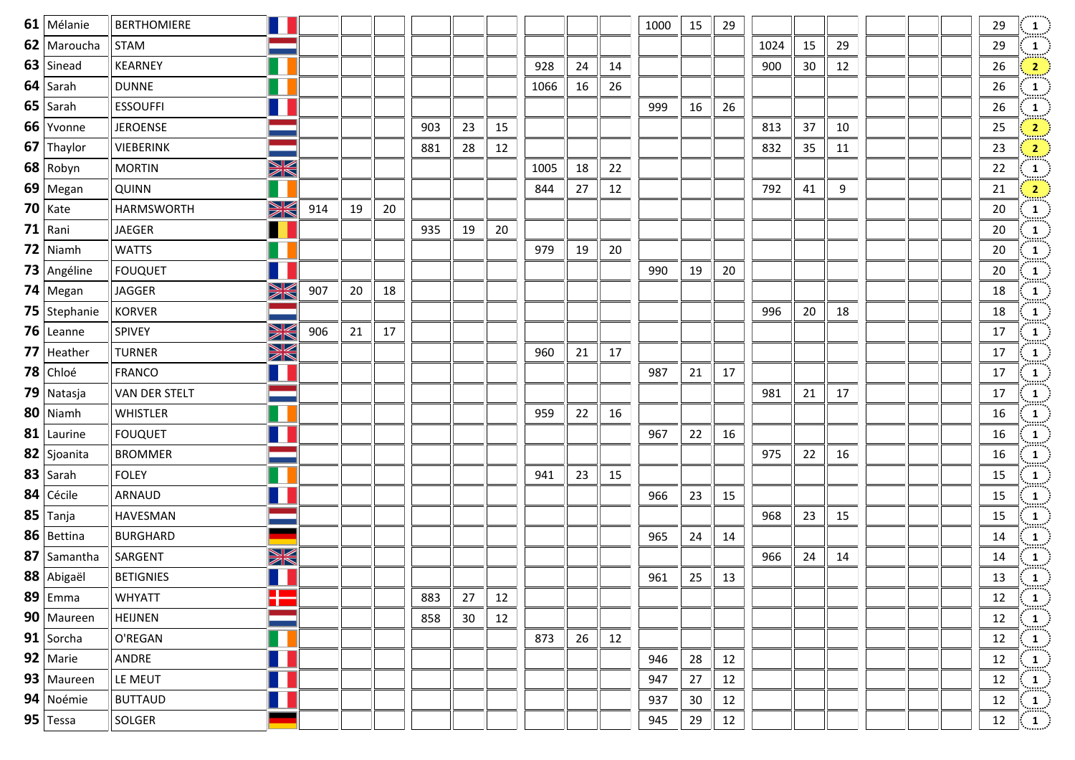| $61$ Mélanie   | <b>BERTHOMIERE</b> |    |     |    |    |     |    |    |      |    |    | 1000 | 15 | 29 |      |    |    |  | 29 | $\frac{1}{2}$                                               |
|----------------|--------------------|----|-----|----|----|-----|----|----|------|----|----|------|----|----|------|----|----|--|----|-------------------------------------------------------------|
| 62 Maroucha    | <b>STAM</b>        |    |     |    |    |     |    |    |      |    |    |      |    |    | 1024 | 15 | 29 |  | 29 | $\frac{1}{\min}$                                            |
| $63$ Sinead    | KEARNEY            | Ш  |     |    |    |     |    |    | 928  | 24 | 14 |      |    |    | 900  | 30 | 12 |  | 26 | $\frac{2}{\sqrt{2}}$                                        |
| $64$ Sarah     | <b>DUNNE</b>       |    |     |    |    |     |    |    | 1066 | 16 | 26 |      |    |    |      |    |    |  | 26 | $\frac{1}{2}$                                               |
| $65$ Sarah     | <b>ESSOUFFI</b>    | 11 |     |    |    |     |    |    |      |    |    | 999  | 16 | 26 |      |    |    |  | 26 | $\frac{1}{\min}$                                            |
| 66 Yvonne      | <b>JEROENSE</b>    |    |     |    |    | 903 | 23 | 15 |      |    |    |      |    |    | 813  | 37 | 10 |  | 25 | $\frac{2}{\sqrt{2}}$                                        |
| 67 Thaylor     | VIEBERINK          |    |     |    |    | 881 | 28 | 12 |      |    |    |      |    |    | 832  | 35 | 11 |  | 23 | $\frac{2}{\pi}$                                             |
| $68$ Robyn     | <b>MORTIN</b>      | X  |     |    |    |     |    |    | 1005 | 18 | 22 |      |    |    |      |    |    |  | 22 | $\frac{1}{\min}$                                            |
| 69   Megan     | QUINN              |    |     |    |    |     |    |    | 844  | 27 | 12 |      |    |    | 792  | 41 | 9  |  | 21 | $\left  \frac{2}{2} \right $                                |
| $70$ Kate      | <b>HARMSWORTH</b>  | XK | 914 | 19 | 20 |     |    |    |      |    |    |      |    |    |      |    |    |  | 20 | $\frac{1}{2}$                                               |
| $71$ Rani      | JAEGER             |    |     |    |    | 935 | 19 | 20 |      |    |    |      |    |    |      |    |    |  | 20 | $\frac{1}{\text{max}}$                                      |
| $72$ Niamh     | <b>WATTS</b>       | H  |     |    |    |     |    |    | 979  | 19 | 20 |      |    |    |      |    |    |  | 20 | $\frac{1}{2}$                                               |
| 73 Angéline    | <b>FOUQUET</b>     |    |     |    |    |     |    |    |      |    |    | 990  | 19 | 20 |      |    |    |  | 20 | $\frac{1}{2}$                                               |
| $74$ Megan     | JAGGER             | XK | 907 | 20 | 18 |     |    |    |      |    |    |      |    |    |      |    |    |  | 18 | $\frac{1}{\text{max}}$                                      |
| 75   Stephanie | <b>KORVER</b>      |    |     |    |    |     |    |    |      |    |    |      |    |    | 996  | 20 | 18 |  | 18 | $\frac{1}{2}$                                               |
| 76 Leanne      | SPIVEY             | XK | 906 | 21 | 17 |     |    |    |      |    |    |      |    |    |      |    |    |  | 17 | $\frac{1}{2}$                                               |
| $77$ Heather   | <b>TURNER</b>      | XK |     |    |    |     |    |    | 960  | 21 | 17 |      |    |    |      |    |    |  | 17 | $\frac{1}{\text{max}}$                                      |
| $78$ Chloé     | <b>FRANCO</b>      | Ш  |     |    |    |     |    |    |      |    |    | 987  | 21 | 17 |      |    |    |  | 17 | $\frac{1}{2}$                                               |
| 79 Natasja     | VAN DER STELT      |    |     |    |    |     |    |    |      |    |    |      |    |    | 981  | 21 | 17 |  | 17 | $\frac{1}{2}$                                               |
| $80$ Niamh     | WHISTLER           |    |     |    |    |     |    |    | 959  | 22 | 16 |      |    |    |      |    |    |  | 16 | $\begin{array}{c} 1 \end{array}$                            |
| $81$ Laurine   | <b>FOUQUET</b>     |    |     |    |    |     |    |    |      |    |    | 967  | 22 | 16 |      |    |    |  | 16 | $\frac{1}{2}$                                               |
| 82 Sjoanita    | <b>BROMMER</b>     |    |     |    |    |     |    |    |      |    |    |      |    |    | 975  | 22 | 16 |  | 16 | $\frac{1}{2}$                                               |
| $83$ Sarah     | <b>FOLEY</b>       |    |     |    |    |     |    |    | 941  | 23 | 15 |      |    |    |      |    |    |  | 15 | $\frac{1}{\text{max}}$                                      |
| $84$ Cécile    | ARNAUD             |    |     |    |    |     |    |    |      |    |    | 966  | 23 | 15 |      |    |    |  | 15 | $\frac{1}{2}$                                               |
| $85$ Tanja     | <b>HAVESMAN</b>    |    |     |    |    |     |    |    |      |    |    |      |    |    | 968  | 23 | 15 |  | 15 | $\frac{1}{2}$                                               |
| 86 Bettina     | <b>BURGHARD</b>    |    |     |    |    |     |    |    |      |    |    | 965  | 24 | 14 |      |    |    |  | 14 | $\frac{1}{2}$                                               |
| 87 Samantha    | SARGENT            | X  |     |    |    |     |    |    |      |    |    |      |    |    | 966  | 24 | 14 |  | 14 |                                                             |
| $88$ Abigaël   | <b>BETIGNIES</b>   |    |     |    |    |     |    |    |      |    |    | 961  | 25 | 13 |      |    |    |  | 13 | $\begin{pmatrix} 1 \ 1 \end{pmatrix}$                       |
| $89$ Emma      | <b>WHYATT</b>      | H  |     |    |    | 883 | 27 | 12 |      |    |    |      |    |    |      |    |    |  | 12 | $\left\langle \begin{array}{c} 1 \end{array} \right\rangle$ |
| 90   Maureen   | <b>HEIJNEN</b>     |    |     |    |    | 858 | 30 | 12 |      |    |    |      |    |    |      |    |    |  | 12 | $\frac{1}{2}$                                               |
| $91$ Sorcha    | O'REGAN            |    |     |    |    |     |    |    | 873  | 26 | 12 |      |    |    |      |    |    |  | 12 | $\mathbf{1}$                                                |
| $92$ Marie     | ANDRE              |    |     |    |    |     |    |    |      |    |    | 946  | 28 | 12 |      |    |    |  | 12 | $\frac{1}{2}$                                               |
| 93   Maureen   | LE MEUT            |    |     |    |    |     |    |    |      |    |    | 947  | 27 | 12 |      |    |    |  | 12 | $\frac{1}{2}$                                               |
| 94 Noémie      | <b>BUTTAUD</b>     |    |     |    |    |     |    |    |      |    |    | 937  | 30 | 12 |      |    |    |  | 12 | $\frac{1}{2}$                                               |
| 95 Tessa       | SOLGER             |    |     |    |    |     |    |    |      |    |    | 945  | 29 | 12 |      |    |    |  | 12 | $\langle 1 \rangle$                                         |